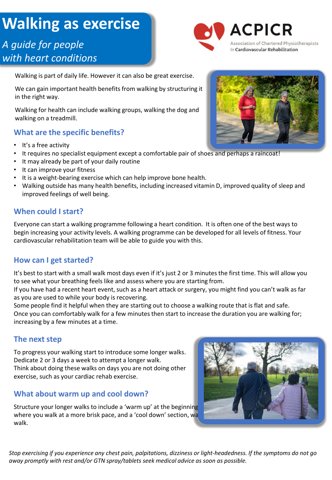# **Walking as exercise**

# *A guide for people with heart conditions*



Walking is part of daily life. However it can also be great exercise.

We can gain important health benefits from walking by structuring it in the right way.

Walking for health can include walking groups, walking the dog and walking on a treadmill.

### **What are the specific benefits?**

- It's a free activity
- It requires no specialist equipment except a comfortable pair of shoes and perhaps a raincoat!
- It may already be part of your daily routine
- It can improve your fitness
- It is a weight-bearing exercise which can help improve bone health.
- Walking outside has many health benefits, including increased vitamin D, improved quality of sleep and improved feelings of well being.

#### **When could I start?**

Everyone can start a walking programme following a heart condition. It is often one of the best ways to begin increasing your activity levels. A walking programme can be developed for all levels of fitness. Your cardiovascular rehabilitation team will be able to guide you with this.

#### **How can I get started?**

It's best to start with a small walk most days even if it's just 2 or 3 minutes the first time. This will allow you to see what your breathing feels like and assess where you are starting from.

If you have had a recent heart event, such as a heart attack or surgery, you might find you can't walk as far as you are used to while your body is recovering.

Some people find it helpful when they are starting out to choose a walking route that is flat and safe. Once you can comfortably walk for a few minutes then start to increase the duration you are walking for; increasing by a few minutes at a time.

#### **The next step**

To progress your walking start to introduce some longer walks. Dedicate 2 or 3 days a week to attempt a longer walk. Think about doing these walks on days you are not doing other exercise, such as your cardiac rehab exercise.

#### **What about warm up and cool down?**

Structure your longer walks to include a 'warm up' at the beginning where you walk at a more brisk pace, and a 'cool down' section, walking slower for the final part of the final walk.



*Stop exercising if you experience any chest pain, palpitations, dizziness or light-headedness. If the symptoms do not go away promptly with rest and/or GTN spray/tablets seek medical advice as soon as possible.*